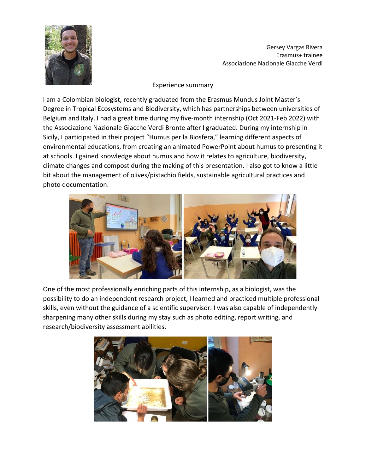

Gersey Vargas Rivera Erasmus+ trainee Associazione Nazionale Giacche Verdi

## Experience summary

I am a Colombian biologist, recently graduated from the Erasmus Mundus Joint Master's Degree in Tropical Ecosystems and Biodiversity, which has partnerships between universities of Belgium and Italy. I had a great time during my five-month internship (Oct 2021-Feb 2022) with the Associazione Nazionale Giacche Verdi Bronte after I graduated. During my internship in Sicily, I participated in their project "Humus per la Biosfera," learning different aspects of environmental educations, from creating an animated PowerPoint about humus to presenting it at schools. I gained knowledge about humus and how it relates to agriculture, biodiversity, climate changes and compost during the making of this presentation. I also got to know a little bit about the management of olives/pistachio fields, sustainable agricultural practices and photo documentation.



One of the most professionally enriching parts of this internship, as a biologist, was the possibility to do an independent research project, I learned and practiced multiple professional skills, even without the guidance of a scientific supervisor. I was also capable of independently sharpening many other skills during my stay such as photo editing, report writing, and research/biodiversity assessment abilities.